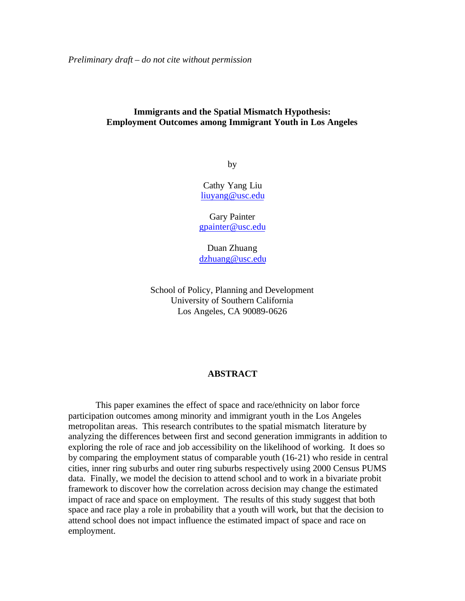*Preliminary draft – do not cite without permission*

## **Immigrants and the Spatial Mismatch Hypothesis: Employment Outcomes among Immigrant Youth in Los Angeles**

by

Cathy Yang Liu liuyang@usc.edu

Gary Painter gpainter@usc.edu

Duan Zhuang dzhuang@usc.edu

School of Policy, Planning and Development University of Southern California Los Angeles, CA 90089-0626

### **ABSTRACT**

This paper examines the effect of space and race/ethnicity on labor force participation outcomes among minority and immigrant youth in the Los Angeles metropolitan areas. This research contributes to the spatial mismatch literature by analyzing the differences between first and second generation immigrants in addition to exploring the role of race and job accessibility on the likelihood of working. It does so by comparing the employment status of comparable youth (16-21) who reside in central cities, inner ring suburbs and outer ring suburbs respectively using 2000 Census PUMS data. Finally, we model the decision to attend school and to work in a bivariate probit framework to discover how the correlation across decision may change the estimated impact of race and space on employment. The results of this study suggest that both space and race play a role in probability that a youth will work, but that the decision to attend school does not impact influence the estimated impact of space and race on employment.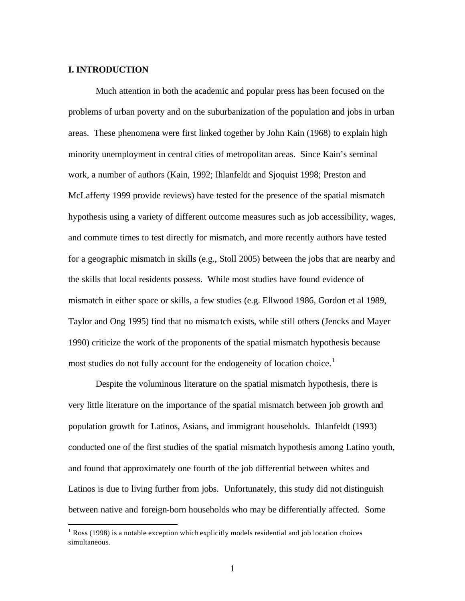#### **I. INTRODUCTION**

 $\overline{a}$ 

Much attention in both the academic and popular press has been focused on the problems of urban poverty and on the suburbanization of the population and jobs in urban areas. These phenomena were first linked together by John Kain (1968) to explain high minority unemployment in central cities of metropolitan areas. Since Kain's seminal work, a number of authors (Kain, 1992; Ihlanfeldt and Sjoquist 1998; Preston and McLafferty 1999 provide reviews) have tested for the presence of the spatial mismatch hypothesis using a variety of different outcome measures such as job accessibility, wages, and commute times to test directly for mismatch, and more recently authors have tested for a geographic mismatch in skills (e.g., Stoll 2005) between the jobs that are nearby and the skills that local residents possess. While most studies have found evidence of mismatch in either space or skills, a few studies (e.g. Ellwood 1986, Gordon et al 1989, Taylor and Ong 1995) find that no misma tch exists, while still others (Jencks and Mayer 1990) criticize the work of the proponents of the spatial mismatch hypothesis because most studies do not fully account for the endogeneity of location choice.<sup>1</sup>

Despite the voluminous literature on the spatial mismatch hypothesis, there is very little literature on the importance of the spatial mismatch between job growth and population growth for Latinos, Asians, and immigrant households. Ihlanfeldt (1993) conducted one of the first studies of the spatial mismatch hypothesis among Latino youth, and found that approximately one fourth of the job differential between whites and Latinos is due to living further from jobs. Unfortunately, this study did not distinguish between native and foreign-born households who may be differentially affected. Some

<sup>&</sup>lt;sup>1</sup> Ross (1998) is a notable exception which explicitly models residential and job location choices simultaneous.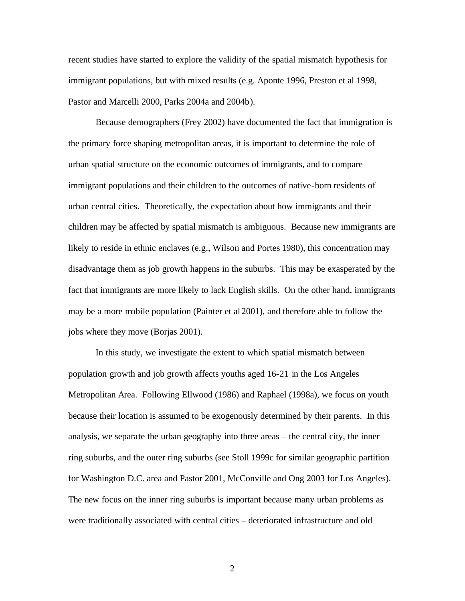recent studies have started to explore the validity of the spatial mismatch hypothesis for immigrant populations, but with mixed results (e.g. Aponte 1996, Preston et al 1998, Pastor and Marcelli 2000, Parks 2004a and 2004b).

Because demographers (Frey 2002) have documented the fact that immigration is the primary force shaping metropolitan areas, it is important to determine the role of urban spatial structure on the economic outcomes of immigrants, and to compare immigrant populations and their children to the outcomes of native-born residents of urban central cities. Theoretically, the expectation about how immigrants and their children may be affected by spatial mismatch is ambiguous. Because new immigrants are likely to reside in ethnic enclaves (e.g., Wilson and Portes 1980), this concentration may disadvantage them as job growth happens in the suburbs. This may be exasperated by the fact that immigrants are more likely to lack English skills. On the other hand, immigrants may be a more mobile population (Painter et al 2001), and therefore able to follow the jobs where they move (Borjas 2001).

In this study, we investigate the extent to which spatial mismatch between population growth and job growth affects youths aged 16-21 in the Los Angeles Metropolitan Area. Following Ellwood (1986) and Raphael (1998a), we focus on youth because their location is assumed to be exogenously determined by their parents. In this analysis, we separate the urban geography into three areas – the central city, the inner ring suburbs, and the outer ring suburbs (see Stoll 1999c for similar geographic partition for Washington D.C. area and Pastor 2001, McConville and Ong 2003 for Los Angeles). The new focus on the inner ring suburbs is important because many urban problems as were traditionally associated with central cities – deteriorated infrastructure and old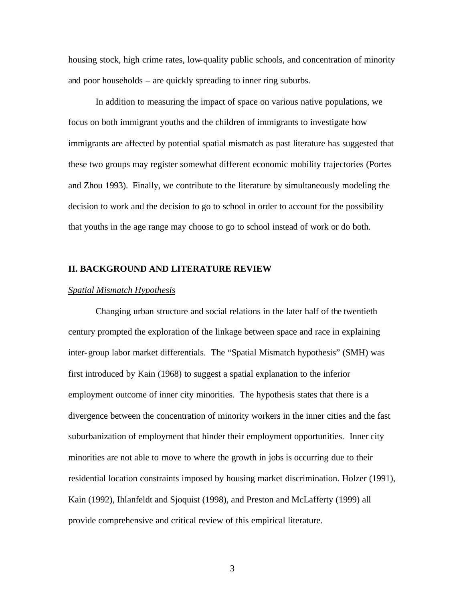housing stock, high crime rates, low-quality public schools, and concentration of minority and poor households – are quickly spreading to inner ring suburbs.

In addition to measuring the impact of space on various native populations, we focus on both immigrant youths and the children of immigrants to investigate how immigrants are affected by potential spatial mismatch as past literature has suggested that these two groups may register somewhat different economic mobility trajectories (Portes and Zhou 1993). Finally, we contribute to the literature by simultaneously modeling the decision to work and the decision to go to school in order to account for the possibility that youths in the age range may choose to go to school instead of work or do both.

#### **II. BACKGROUND AND LITERATURE REVIEW**

#### *Spatial Mismatch Hypothesis*

Changing urban structure and social relations in the later half of the twentieth century prompted the exploration of the linkage between space and race in explaining inter-group labor market differentials. The "Spatial Mismatch hypothesis" (SMH) was first introduced by Kain (1968) to suggest a spatial explanation to the inferior employment outcome of inner city minorities. The hypothesis states that there is a divergence between the concentration of minority workers in the inner cities and the fast suburbanization of employment that hinder their employment opportunities. Inner city minorities are not able to move to where the growth in jobs is occurring due to their residential location constraints imposed by housing market discrimination. Holzer (1991), Kain (1992), Ihlanfeldt and Sjoquist (1998), and Preston and McLafferty (1999) all provide comprehensive and critical review of this empirical literature.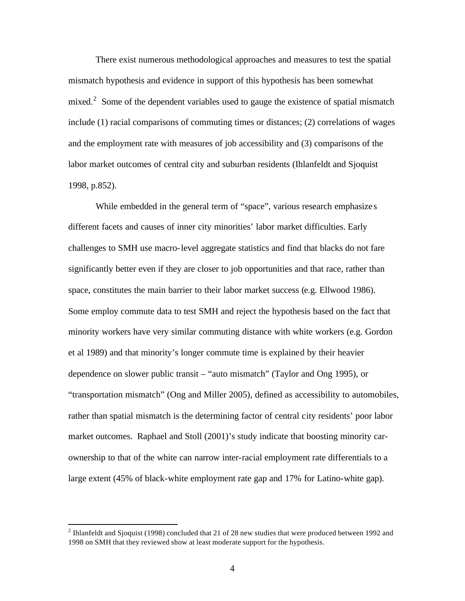There exist numerous methodological approaches and measures to test the spatial mismatch hypothesis and evidence in support of this hypothesis has been somewhat mixed.<sup>2</sup> Some of the dependent variables used to gauge the existence of spatial mismatch include (1) racial comparisons of commuting times or distances; (2) correlations of wages and the employment rate with measures of job accessibility and (3) comparisons of the labor market outcomes of central city and suburban residents (Ihlanfeldt and Sjoquist 1998, p.852).

While embedded in the general term of "space", various research emphasize s different facets and causes of inner city minorities' labor market difficulties. Early challenges to SMH use macro-level aggregate statistics and find that blacks do not fare significantly better even if they are closer to job opportunities and that race, rather than space, constitutes the main barrier to their labor market success (e.g. Ellwood 1986). Some employ commute data to test SMH and reject the hypothesis based on the fact that minority workers have very similar commuting distance with white workers (e.g. Gordon et al 1989) and that minority's longer commute time is explained by their heavier dependence on slower public transit – "auto mismatch" (Taylor and Ong 1995), or "transportation mismatch" (Ong and Miller 2005), defined as accessibility to automobiles, rather than spatial mismatch is the determining factor of central city residents' poor labor market outcomes. Raphael and Stoll (2001)'s study indicate that boosting minority carownership to that of the white can narrow inter-racial employment rate differentials to a large extent (45% of black-white employment rate gap and 17% for Latino-white gap).

 $\overline{a}$ 

<sup>&</sup>lt;sup>2</sup> Ihlanfeldt and Sjoquist (1998) concluded that 21 of 28 new studies that were produced between 1992 and 1998 on SMH that they reviewed show at least moderate support for the hypothesis.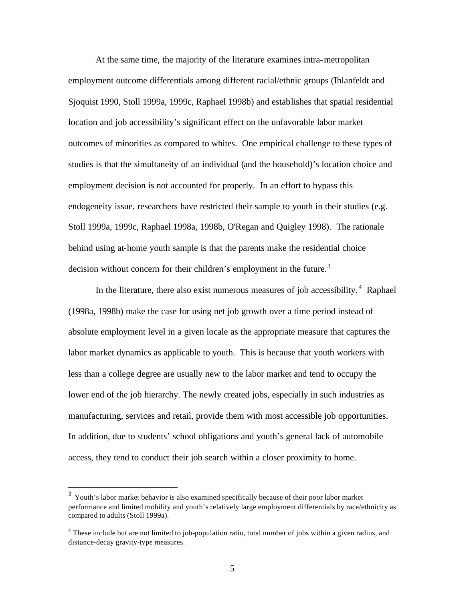At the same time, the majority of the literature examines intra-metropolitan employment outcome differentials among different racial/ethnic groups (Ihlanfeldt and Sjoquist 1990, Stoll 1999a, 1999c, Raphael 1998b) and establishes that spatial residential location and job accessibility's significant effect on the unfavorable labor market outcomes of minorities as compared to whites. One empirical challenge to these types of studies is that the simultaneity of an individual (and the household)'s location choice and employment decision is not accounted for properly. In an effort to bypass this endogeneity issue, researchers have restricted their sample to youth in their studies (e.g. Stoll 1999a, 1999c, Raphael 1998a, 1998b, O'Regan and Quigley 1998). The rationale behind using at-home youth sample is that the parents make the residential choice decision without concern for their children's employment in the future.<sup>3</sup>

In the literature, there also exist numerous measures of job accessibility. $4$  Raphael (1998a, 1998b) make the case for using net job growth over a time period instead of absolute employment level in a given locale as the appropriate measure that captures the labor market dynamics as applicable to youth. This is because that youth workers with less than a college degree are usually new to the labor market and tend to occupy the lower end of the job hierarchy. The newly created jobs, especially in such industries as manufacturing, services and retail, provide them with most accessible job opportunities. In addition, due to students' school obligations and youth's general lack of automobile access, they tend to conduct their job search within a closer proximity to home.

 $\overline{a}$ 

 $3$  Youth's labor market behavior is also examined specifically because of their poor labor market performance and limited mobility and youth's relatively large employment differentials by race/ethnicity as compared to adults (Stoll 1999a).

<sup>&</sup>lt;sup>4</sup> These include but are not limited to job-population ratio, total number of jobs within a given radius, and distance-decay gravity-type measures.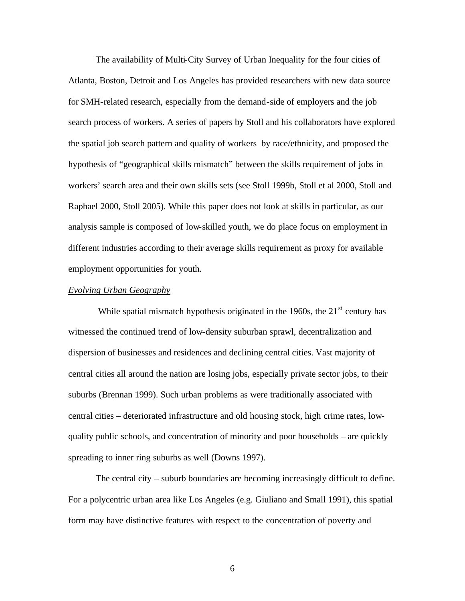The availability of Multi-City Survey of Urban Inequality for the four cities of Atlanta, Boston, Detroit and Los Angeles has provided researchers with new data source for SMH-related research, especially from the demand-side of employers and the job search process of workers. A series of papers by Stoll and his collaborators have explored the spatial job search pattern and quality of workers by race/ethnicity, and proposed the hypothesis of "geographical skills mismatch" between the skills requirement of jobs in workers' search area and their own skills sets (see Stoll 1999b, Stoll et al 2000, Stoll and Raphael 2000, Stoll 2005). While this paper does not look at skills in particular, as our analysis sample is composed of low-skilled youth, we do place focus on employment in different industries according to their average skills requirement as proxy for available employment opportunities for youth.

#### *Evolving Urban Geography*

While spatial mismatch hypothesis originated in the 1960s, the  $21<sup>st</sup>$  century has witnessed the continued trend of low-density suburban sprawl, decentralization and dispersion of businesses and residences and declining central cities. Vast majority of central cities all around the nation are losing jobs, especially private sector jobs, to their suburbs (Brennan 1999). Such urban problems as were traditionally associated with central cities – deteriorated infrastructure and old housing stock, high crime rates, lowquality public schools, and concentration of minority and poor households – are quickly spreading to inner ring suburbs as well (Downs 1997).

The central city – suburb boundaries are becoming increasingly difficult to define. For a polycentric urban area like Los Angeles (e.g. Giuliano and Small 1991), this spatial form may have distinctive features with respect to the concentration of poverty and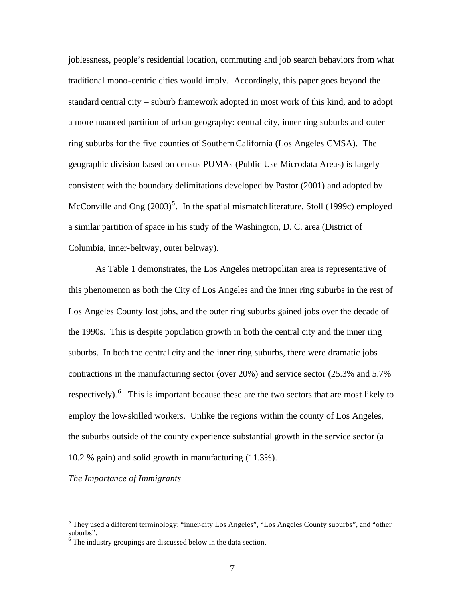joblessness, people's residential location, commuting and job search behaviors from what traditional mono-centric cities would imply. Accordingly, this paper goes beyond the standard central city – suburb framework adopted in most work of this kind, and to adopt a more nuanced partition of urban geography: central city, inner ring suburbs and outer ring suburbs for the five counties of Southern California (Los Angeles CMSA). The geographic division based on census PUMAs (Public Use Microdata Areas) is largely consistent with the boundary delimitations developed by Pastor (2001) and adopted by McConville and Ong  $(2003)^5$ . In the spatial mismatch literature, Stoll (1999c) employed a similar partition of space in his study of the Washington, D. C. area (District of Columbia, inner-beltway, outer beltway).

As Table 1 demonstrates, the Los Angeles metropolitan area is representative of this phenomenon as both the City of Los Angeles and the inner ring suburbs in the rest of Los Angeles County lost jobs, and the outer ring suburbs gained jobs over the decade of the 1990s. This is despite population growth in both the central city and the inner ring suburbs. In both the central city and the inner ring suburbs, there were dramatic jobs contractions in the manufacturing sector (over 20%) and service sector (25.3% and 5.7% respectively). <sup>6</sup> This is important because these are the two sectors that are most likely to employ the low-skilled workers. Unlike the regions within the county of Los Angeles, the suburbs outside of the county experience substantial growth in the service sector (a 10.2 % gain) and solid growth in manufacturing (11.3%).

#### *The Importance of Immigrants*

 $\overline{a}$ 

<sup>&</sup>lt;sup>5</sup> They used a different terminology: "inner-city Los Angeles", "Los Angeles County suburbs", and "other suburbs".

 $6$  The industry groupings are discussed below in the data section.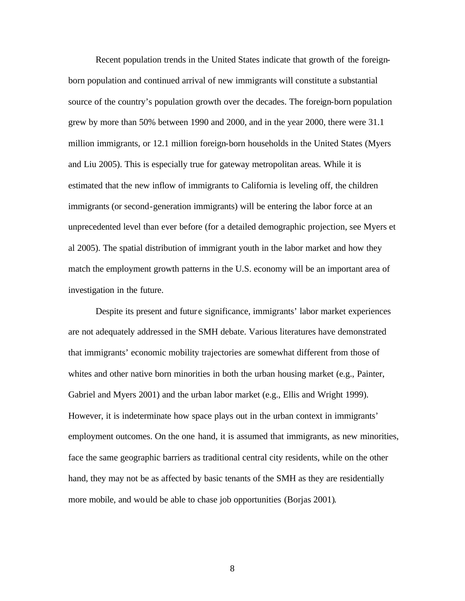Recent population trends in the United States indicate that growth of the foreignborn population and continued arrival of new immigrants will constitute a substantial source of the country's population growth over the decades. The foreign-born population grew by more than 50% between 1990 and 2000, and in the year 2000, there were 31.1 million immigrants, or 12.1 million foreign-born households in the United States (Myers and Liu 2005). This is especially true for gateway metropolitan areas. While it is estimated that the new inflow of immigrants to California is leveling off, the children immigrants (or second-generation immigrants) will be entering the labor force at an unprecedented level than ever before (for a detailed demographic projection, see Myers et al 2005). The spatial distribution of immigrant youth in the labor market and how they match the employment growth patterns in the U.S. economy will be an important area of investigation in the future.

Despite its present and future significance, immigrants' labor market experiences are not adequately addressed in the SMH debate. Various literatures have demonstrated that immigrants' economic mobility trajectories are somewhat different from those of whites and other native born minorities in both the urban housing market (e.g., Painter, Gabriel and Myers 2001) and the urban labor market (e.g., Ellis and Wright 1999). However, it is indeterminate how space plays out in the urban context in immigrants' employment outcomes. On the one hand, it is assumed that immigrants, as new minorities, face the same geographic barriers as traditional central city residents, while on the other hand, they may not be as affected by basic tenants of the SMH as they are residentially more mobile, and would be able to chase job opportunities (Borjas 2001).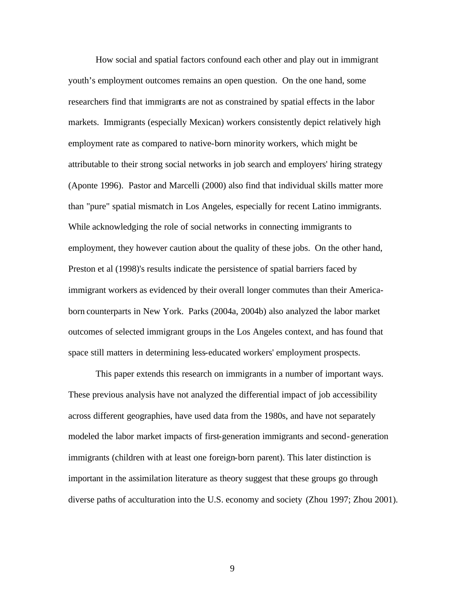How social and spatial factors confound each other and play out in immigrant youth's employment outcomes remains an open question. On the one hand, some researchers find that immigrants are not as constrained by spatial effects in the labor markets. Immigrants (especially Mexican) workers consistently depict relatively high employment rate as compared to native-born minority workers, which might be attributable to their strong social networks in job search and employers' hiring strategy (Aponte 1996). Pastor and Marcelli (2000) also find that individual skills matter more than "pure" spatial mismatch in Los Angeles, especially for recent Latino immigrants. While acknowledging the role of social networks in connecting immigrants to employment, they however caution about the quality of these jobs. On the other hand, Preston et al (1998)'s results indicate the persistence of spatial barriers faced by immigrant workers as evidenced by their overall longer commutes than their Americaborn counterparts in New York. Parks (2004a, 2004b) also analyzed the labor market outcomes of selected immigrant groups in the Los Angeles context, and has found that space still matters in determining less-educated workers' employment prospects.

This paper extends this research on immigrants in a number of important ways. These previous analysis have not analyzed the differential impact of job accessibility across different geographies, have used data from the 1980s, and have not separately modeled the labor market impacts of first-generation immigrants and second-generation immigrants (children with at least one foreign-born parent). This later distinction is important in the assimilation literature as theory suggest that these groups go through diverse paths of acculturation into the U.S. economy and society (Zhou 1997; Zhou 2001).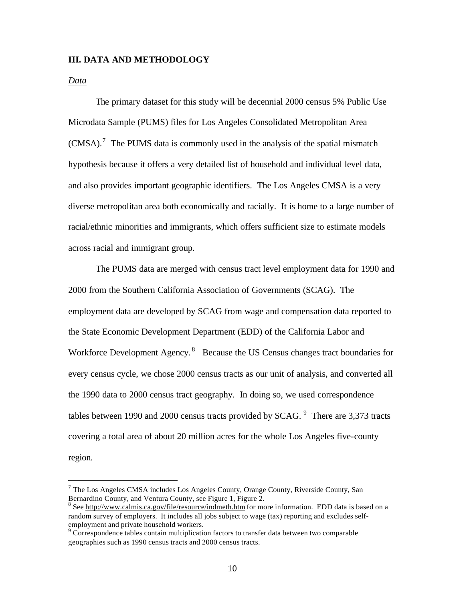#### **III. DATA AND METHODOLOGY**

#### *Data*

 $\overline{a}$ 

The primary dataset for this study will be decennial 2000 census 5% Public Use Microdata Sample (PUMS) files for Los Angeles Consolidated Metropolitan Area  $(CMSA).$ <sup>7</sup> The PUMS data is commonly used in the analysis of the spatial mismatch hypothesis because it offers a very detailed list of household and individual level data, and also provides important geographic identifiers. The Los Angeles CMSA is a very diverse metropolitan area both economically and racially. It is home to a large number of racial/ethnic minorities and immigrants, which offers sufficient size to estimate models across racial and immigrant group.

The PUMS data are merged with census tract level employment data for 1990 and 2000 from the Southern California Association of Governments (SCAG). The employment data are developed by SCAG from wage and compensation data reported to the State Economic Development Department (EDD) of the California Labor and Workforce Development Agency.<sup>8</sup> Because the US Census changes tract boundaries for every census cycle, we chose 2000 census tracts as our unit of analysis, and converted all the 1990 data to 2000 census tract geography. In doing so, we used correspondence tables between 1990 and 2000 census tracts provided by  $SCAG$ . <sup>9</sup> There are 3,373 tracts covering a total area of about 20 million acres for the whole Los Angeles five-county region.

<sup>&</sup>lt;sup>7</sup> The Los Angeles CMSA includes Los Angeles County, Orange County, Riverside County, San Bernardino County, and Ventura County, see Figure 1, Figure 2.

<sup>&</sup>lt;sup>8</sup> See http://www.calmis.ca.gov/file/resource/indmeth.htm for more information. EDD data is based on a random survey of employers. It includes all jobs subject to wage (tax) reporting and excludes selfemployment and private household workers.<br><sup>9</sup> Correspondence tables contain multiplication factors to transfer data between two comparable

geographies such as 1990 census tracts and 2000 census tracts.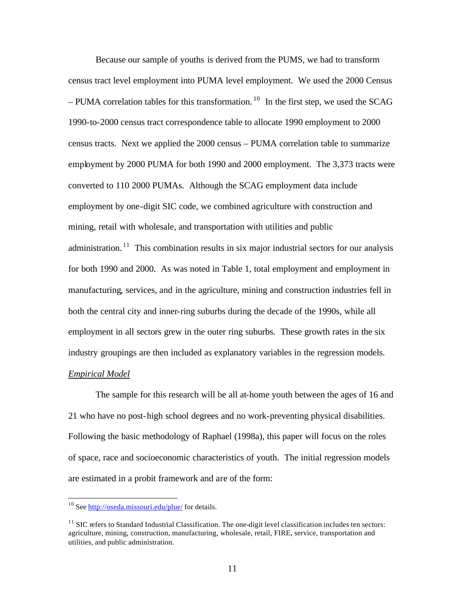Because our sample of youths is derived from the PUMS, we had to transform census tract level employment into PUMA level employment. We used the 2000 Census – PUMA correlation tables for this transformation. <sup>10</sup> In the first step, we used the SCAG 1990-to-2000 census tract correspondence table to allocate 1990 employment to 2000 census tracts. Next we applied the 2000 census – PUMA correlation table to summarize employment by 2000 PUMA for both 1990 and 2000 employment. The 3,373 tracts were converted to 110 2000 PUMAs. Although the SCAG employment data include employment by one-digit SIC code, we combined agriculture with construction and mining, retail with wholesale, and transportation with utilities and public administration.<sup>11</sup> This combination results in six major industrial sectors for our analysis for both 1990 and 2000. As was noted in Table 1, total employment and employment in manufacturing, services, and in the agriculture, mining and construction industries fell in both the central city and inner-ring suburbs during the decade of the 1990s, while all employment in all sectors grew in the outer ring suburbs. These growth rates in the six industry groupings are then included as explanatory variables in the regression models.

## *Empirical Model*

 $\overline{a}$ 

The sample for this research will be all at-home youth between the ages of 16 and 21 who have no post-high school degrees and no work-preventing physical disabilities. Following the basic methodology of Raphael (1998a), this paper will focus on the roles of space, race and socioeconomic characteristics of youth. The initial regression models are estimated in a probit framework and are of the form:

<sup>&</sup>lt;sup>10</sup> See http://oseda.missouri.edu/plue/ for details.

 $11$  SIC refers to Standard Industrial Classification. The one-digit level classification includes ten sectors: agriculture, mining, construction, manufacturing, wholesale, retail, FIRE, service, transportation and utilities, and public administration.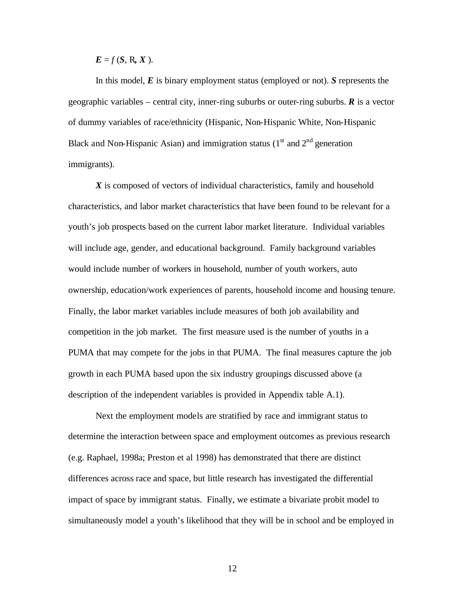$E = f(S, R, X)$ .

In this model, *E* is binary employment status (employed or not). *S* represents the geographic variables – central city, inner-ring suburbs or outer-ring suburbs. *R* is a vector of dummy variables of race/ethnicity (Hispanic, Non-Hispanic White, Non-Hispanic Black and Non-Hispanic Asian) and immigration status  $(1<sup>st</sup>$  and  $2<sup>nd</sup>$  generation immigrants).

*X* is composed of vectors of individual characteristics, family and household characteristics, and labor market characteristics that have been found to be relevant for a youth's job prospects based on the current labor market literature. Individual variables will include age, gender, and educational background. Family background variables would include number of workers in household, number of youth workers, auto ownership, education/work experiences of parents, household income and housing tenure. Finally, the labor market variables include measures of both job availability and competition in the job market. The first measure used is the number of youths in a PUMA that may compete for the jobs in that PUMA. The final measures capture the job growth in each PUMA based upon the six industry groupings discussed above (a description of the independent variables is provided in Appendix table A.1).

Next the employment models are stratified by race and immigrant status to determine the interaction between space and employment outcomes as previous research (e.g. Raphael, 1998a; Preston et al 1998) has demonstrated that there are distinct differences across race and space, but little research has investigated the differential impact of space by immigrant status. Finally, we estimate a bivariate probit model to simultaneously model a youth's likelihood that they will be in school and be employed in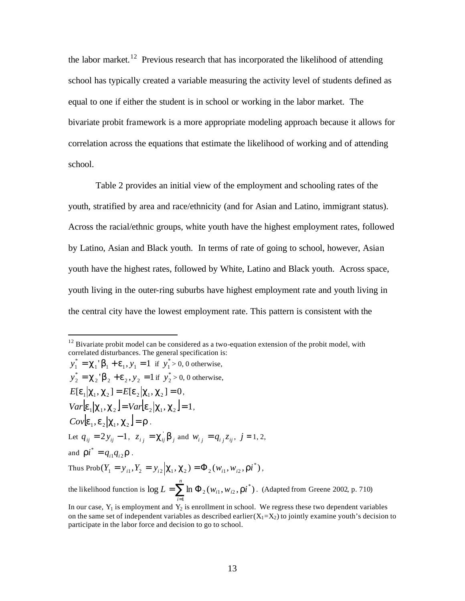the labor market.<sup>12</sup> Previous research that has incorporated the likelihood of attending school has typically created a variable measuring the activity level of students defined as equal to one if either the student is in school or working in the labor market. The bivariate probit framework is a more appropriate modeling approach because it allows for correlation across the equations that estimate the likelihood of working and of attending school.

Table 2 provides an initial view of the employment and schooling rates of the youth, stratified by area and race/ethnicity (and for Asian and Latino, immigrant status). Across the racial/ethnic groups, white youth have the highest employment rates, followed by Latino, Asian and Black youth. In terms of rate of going to school, however, Asian youth have the highest rates, followed by White, Latino and Black youth. Across space, youth living in the outer-ring suburbs have highest employment rate and youth living in the central city have the lowest employment rate. This pattern is consistent with the

 $\overline{a}$ 

 $y_1^* = \mathbf{c}_1 \mathbf{b}_1 + \mathbf{e}_1$ ,  $y_1 = 1$  if  $y_1^* > 0$ , 0 otherwise,  $y_2^* = \mathbf{c}_2 \mathbf{b}_2 + \mathbf{e}_2, y_2 = 1$  if  $y_2^* > 0, 0$  otherwise,  $E[e_1|c_1, c_2] = E[e_2|c_1, c_2] = 0,$  $Var[\mathbf{e}_1 | \mathbf{c}_1, \mathbf{c}_2] = Var[\mathbf{e}_2 | \mathbf{c}_1, \mathbf{c}_2] = 1,$ *Cov* $[e_1, e_2 | c_1, c_2] = r$ . Let  $q_{ij} = 2 y_{ij} - 1$ ,  $z_{ij} = c_{ij} b_j$  and  $w_{ij} = q_{ij} z_{ij}$ ,  $j = 1, 2$ , and  $\boldsymbol{ri}^* = q_{i1}q_{i2}\boldsymbol{r}$  $i^* = q_{i1}q_{i2}r$ . Thus Prob $(Y_1 = y_{i1}, Y_2 = y_{i2} | \mathbf{C}_1, \mathbf{C}_2) = \Phi_2(w_{i1}, w_{i2}, \mathbf{r} \mathbf{i}^*)$ , the likelihood function is  $\log L = \sum \ln \Phi_2(w_{i1}, w_{i2}, r i^*)$  $\sum_{i=1}$  ln  $\Phi_2(w_{i1}, w_{i2}, r i^*)$  $=$   $\sum$  ln  $\Phi$ *n i*  $L = \sum \ln \Phi_2(w_{i1}, w_{i2}, r i^*)$ . (Adapted from Greene 2002, p. 710)

 $12$  Bivariate probit model can be considered as a two-equation extension of the probit model, with correlated disturbances. The general specification is:

In our case,  $Y_1$  is employment and  $Y_2$  is enrollment in school. We regress these two dependent variables on the same set of independent variables as described earlier  $(X_1=X_2)$  to jointly examine youth's decision to participate in the labor force and decision to go to school.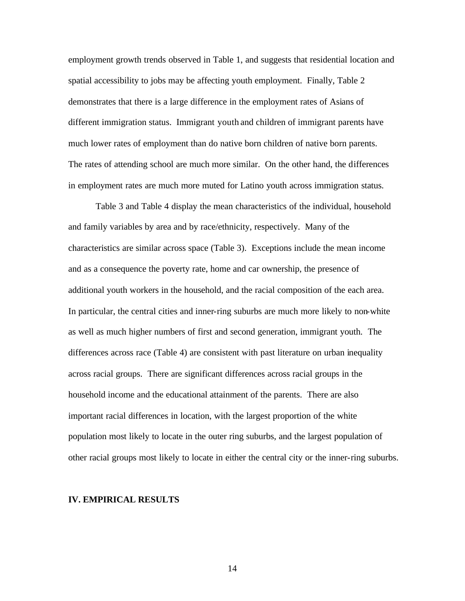employment growth trends observed in Table 1, and suggests that residential location and spatial accessibility to jobs may be affecting youth employment. Finally, Table 2 demonstrates that there is a large difference in the employment rates of Asians of different immigration status. Immigrant youth and children of immigrant parents have much lower rates of employment than do native born children of native born parents. The rates of attending school are much more similar. On the other hand, the differences in employment rates are much more muted for Latino youth across immigration status.

Table 3 and Table 4 display the mean characteristics of the individual, household and family variables by area and by race/ethnicity, respectively. Many of the characteristics are similar across space (Table 3). Exceptions include the mean income and as a consequence the poverty rate, home and car ownership, the presence of additional youth workers in the household, and the racial composition of the each area. In particular, the central cities and inner-ring suburbs are much more likely to non-white as well as much higher numbers of first and second generation, immigrant youth. The differences across race (Table 4) are consistent with past literature on urban inequality across racial groups. There are significant differences across racial groups in the household income and the educational attainment of the parents. There are also important racial differences in location, with the largest proportion of the white population most likely to locate in the outer ring suburbs, and the largest population of other racial groups most likely to locate in either the central city or the inner-ring suburbs.

#### **IV. EMPIRICAL RESULTS**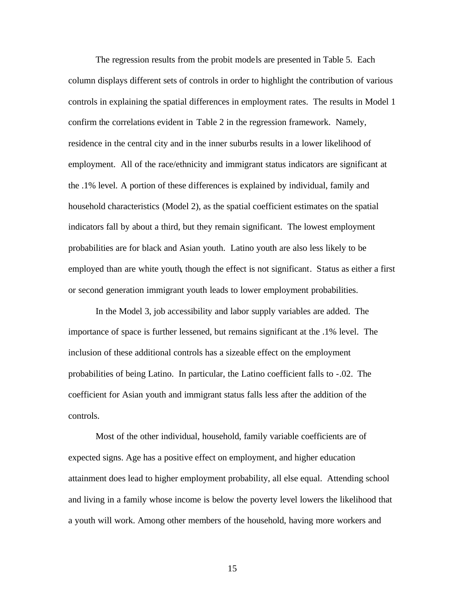The regression results from the probit models are presented in Table 5. Each column displays different sets of controls in order to highlight the contribution of various controls in explaining the spatial differences in employment rates. The results in Model 1 confirm the correlations evident in Table 2 in the regression framework. Namely, residence in the central city and in the inner suburbs results in a lower likelihood of employment. All of the race/ethnicity and immigrant status indicators are significant at the .1% level. A portion of these differences is explained by individual, family and household characteristics (Model 2), as the spatial coefficient estimates on the spatial indicators fall by about a third, but they remain significant. The lowest employment probabilities are for black and Asian youth. Latino youth are also less likely to be employed than are white youth, though the effect is not significant. Status as either a first or second generation immigrant youth leads to lower employment probabilities.

In the Model 3, job accessibility and labor supply variables are added. The importance of space is further lessened, but remains significant at the .1% level. The inclusion of these additional controls has a sizeable effect on the employment probabilities of being Latino. In particular, the Latino coefficient falls to -.02. The coefficient for Asian youth and immigrant status falls less after the addition of the controls.

Most of the other individual, household, family variable coefficients are of expected signs. Age has a positive effect on employment, and higher education attainment does lead to higher employment probability, all else equal. Attending school and living in a family whose income is below the poverty level lowers the likelihood that a youth will work. Among other members of the household, having more workers and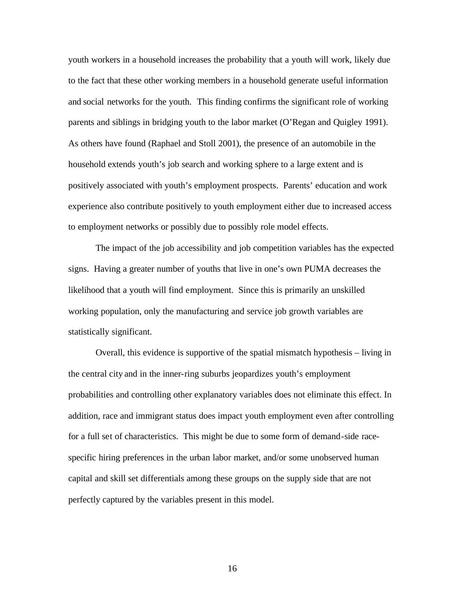youth workers in a household increases the probability that a youth will work, likely due to the fact that these other working members in a household generate useful information and social networks for the youth. This finding confirms the significant role of working parents and siblings in bridging youth to the labor market (O'Regan and Quigley 1991). As others have found (Raphael and Stoll 2001), the presence of an automobile in the household extends youth's job search and working sphere to a large extent and is positively associated with youth's employment prospects. Parents' education and work experience also contribute positively to youth employment either due to increased access to employment networks or possibly due to possibly role model effects.

The impact of the job accessibility and job competition variables has the expected signs. Having a greater number of youths that live in one's own PUMA decreases the likelihood that a youth will find employment. Since this is primarily an unskilled working population, only the manufacturing and service job growth variables are statistically significant.

Overall, this evidence is supportive of the spatial mismatch hypothesis – living in the central city and in the inner-ring suburbs jeopardizes youth's employment probabilities and controlling other explanatory variables does not eliminate this effect. In addition, race and immigrant status does impact youth employment even after controlling for a full set of characteristics. This might be due to some form of demand-side racespecific hiring preferences in the urban labor market, and/or some unobserved human capital and skill set differentials among these groups on the supply side that are not perfectly captured by the variables present in this model.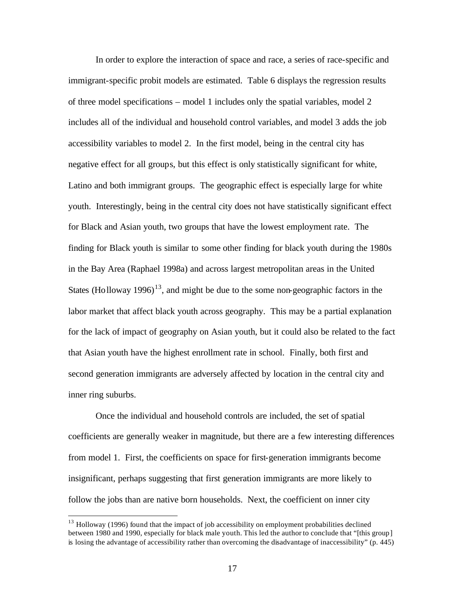In order to explore the interaction of space and race, a series of race-specific and immigrant-specific probit models are estimated. Table 6 displays the regression results of three model specifications – model 1 includes only the spatial variables, model 2 includes all of the individual and household control variables, and model 3 adds the job accessibility variables to model 2. In the first model, being in the central city has negative effect for all groups, but this effect is only statistically significant for white, Latino and both immigrant groups. The geographic effect is especially large for white youth. Interestingly, being in the central city does not have statistically significant effect for Black and Asian youth, two groups that have the lowest employment rate. The finding for Black youth is similar to some other finding for black youth during the 1980s in the Bay Area (Raphael 1998a) and across largest metropolitan areas in the United States (Holloway 1996)<sup>13</sup>, and might be due to the some non-geographic factors in the labor market that affect black youth across geography. This may be a partial explanation for the lack of impact of geography on Asian youth, but it could also be related to the fact that Asian youth have the highest enrollment rate in school. Finally, both first and second generation immigrants are adversely affected by location in the central city and inner ring suburbs.

Once the individual and household controls are included, the set of spatial coefficients are generally weaker in magnitude, but there are a few interesting differences from model 1. First, the coefficients on space for first-generation immigrants become insignificant, perhaps suggesting that first generation immigrants are more likely to follow the jobs than are native born households. Next, the coefficient on inner city

 $\overline{a}$ 

<sup>&</sup>lt;sup>13</sup> Holloway (1996) found that the impact of job accessibility on employment probabilities declined between 1980 and 1990, especially for black male youth. This led the author to conclude that "[this group] is losing the advantage of accessibility rather than overcoming the disadvantage of inaccessibility" (p. 445)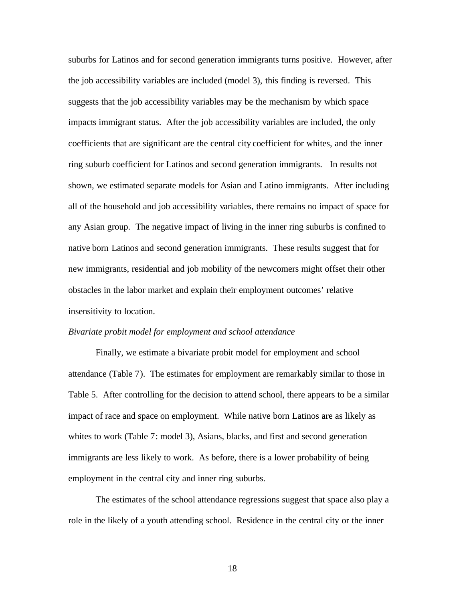suburbs for Latinos and for second generation immigrants turns positive. However, after the job accessibility variables are included (model 3), this finding is reversed. This suggests that the job accessibility variables may be the mechanism by which space impacts immigrant status. After the job accessibility variables are included, the only coefficients that are significant are the central city coefficient for whites, and the inner ring suburb coefficient for Latinos and second generation immigrants. In results not shown, we estimated separate models for Asian and Latino immigrants. After including all of the household and job accessibility variables, there remains no impact of space for any Asian group. The negative impact of living in the inner ring suburbs is confined to native born Latinos and second generation immigrants. These results suggest that for new immigrants, residential and job mobility of the newcomers might offset their other obstacles in the labor market and explain their employment outcomes' relative insensitivity to location.

#### *Bivariate probit model for employment and school attendance*

Finally, we estimate a bivariate probit model for employment and school attendance (Table 7). The estimates for employment are remarkably similar to those in Table 5. After controlling for the decision to attend school, there appears to be a similar impact of race and space on employment. While native born Latinos are as likely as whites to work (Table 7: model 3), Asians, blacks, and first and second generation immigrants are less likely to work. As before, there is a lower probability of being employment in the central city and inner ring suburbs.

The estimates of the school attendance regressions suggest that space also play a role in the likely of a youth attending school. Residence in the central city or the inner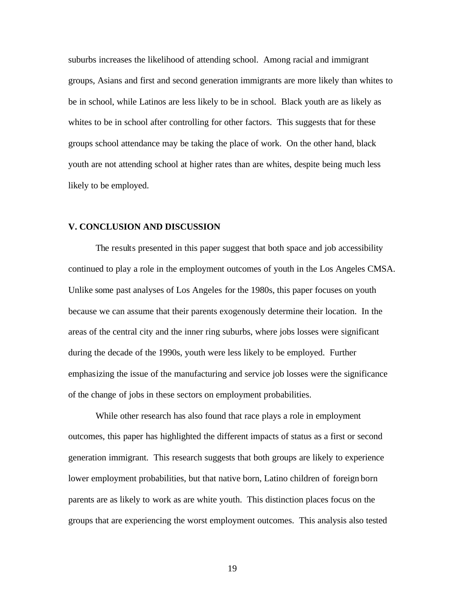suburbs increases the likelihood of attending school. Among racial and immigrant groups, Asians and first and second generation immigrants are more likely than whites to be in school, while Latinos are less likely to be in school. Black youth are as likely as whites to be in school after controlling for other factors. This suggests that for these groups school attendance may be taking the place of work. On the other hand, black youth are not attending school at higher rates than are whites, despite being much less likely to be employed.

#### **V. CONCLUSION AND DISCUSSION**

The results presented in this paper suggest that both space and job accessibility continued to play a role in the employment outcomes of youth in the Los Angeles CMSA. Unlike some past analyses of Los Angeles for the 1980s, this paper focuses on youth because we can assume that their parents exogenously determine their location. In the areas of the central city and the inner ring suburbs, where jobs losses were significant during the decade of the 1990s, youth were less likely to be employed. Further emphasizing the issue of the manufacturing and service job losses were the significance of the change of jobs in these sectors on employment probabilities.

While other research has also found that race plays a role in employment outcomes, this paper has highlighted the different impacts of status as a first or second generation immigrant. This research suggests that both groups are likely to experience lower employment probabilities, but that native born, Latino children of foreign born parents are as likely to work as are white youth. This distinction places focus on the groups that are experiencing the worst employment outcomes. This analysis also tested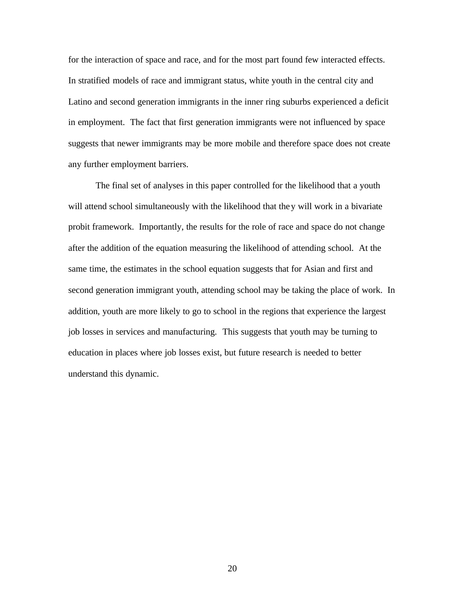for the interaction of space and race, and for the most part found few interacted effects. In stratified models of race and immigrant status, white youth in the central city and Latino and second generation immigrants in the inner ring suburbs experienced a deficit in employment. The fact that first generation immigrants were not influenced by space suggests that newer immigrants may be more mobile and therefore space does not create any further employment barriers.

The final set of analyses in this paper controlled for the likelihood that a youth will attend school simultaneously with the likelihood that they will work in a bivariate probit framework. Importantly, the results for the role of race and space do not change after the addition of the equation measuring the likelihood of attending school. At the same time, the estimates in the school equation suggests that for Asian and first and second generation immigrant youth, attending school may be taking the place of work. In addition, youth are more likely to go to school in the regions that experience the largest job losses in services and manufacturing. This suggests that youth may be turning to education in places where job losses exist, but future research is needed to better understand this dynamic.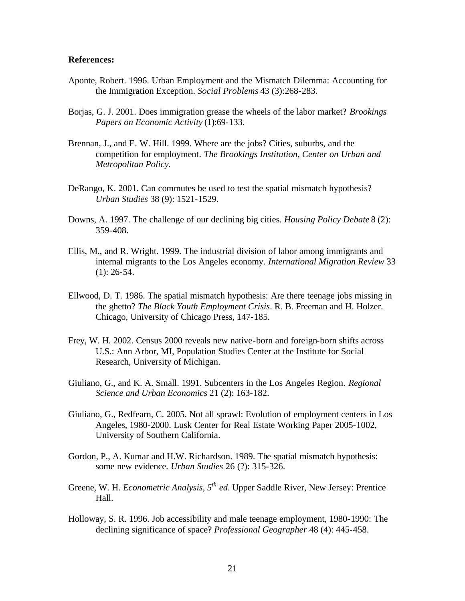#### **References:**

- Aponte, Robert. 1996. Urban Employment and the Mismatch Dilemma: Accounting for the Immigration Exception. *Social Problems* 43 (3):268-283.
- Borjas, G. J. 2001. Does immigration grease the wheels of the labor market? *Brookings Papers on Economic Activity* (1):69-133.
- Brennan, J., and E. W. Hill. 1999. Where are the jobs? Cities, suburbs, and the competition for employment*. The Brookings Institution, Center on Urban and Metropolitan Policy.*
- DeRango, K. 2001. Can commutes be used to test the spatial mismatch hypothesis? *Urban Studies* 38 (9): 1521-1529.
- Downs, A. 1997. The challenge of our declining big cities. *Housing Policy Debate* 8 (2): 359-408.
- Ellis, M., and R. Wright. 1999. The industrial division of labor among immigrants and internal migrants to the Los Angeles economy. *International Migration Review* 33  $(1): 26-54.$
- Ellwood, D. T. 1986. The spatial mismatch hypothesis: Are there teenage jobs missing in the ghetto? *The Black Youth Employment Crisis*. R. B. Freeman and H. Holzer. Chicago, University of Chicago Press, 147-185.
- Frey, W. H. 2002. Census 2000 reveals new native-born and foreign-born shifts across U.S.: Ann Arbor, MI, Population Studies Center at the Institute for Social Research, University of Michigan.
- Giuliano, G., and K. A. Small. 1991. Subcenters in the Los Angeles Region. *Regional Science and Urban Economics* 21 (2): 163-182.
- Giuliano, G., Redfearn, C. 2005. Not all sprawl: Evolution of employment centers in Los Angeles, 1980-2000. Lusk Center for Real Estate Working Paper 2005-1002, University of Southern California.
- Gordon, P., A. Kumar and H.W. Richardson. 1989. The spatial mismatch hypothesis: some new evidence. *Urban Studies* 26 (?): 315-326.
- Greene, W. H. *Econometric Analysis, 5th ed*. Upper Saddle River, New Jersey: Prentice Hall.
- Holloway, S. R. 1996. Job accessibility and male teenage employment, 1980-1990: The declining significance of space? *Professional Geographer* 48 (4): 445-458.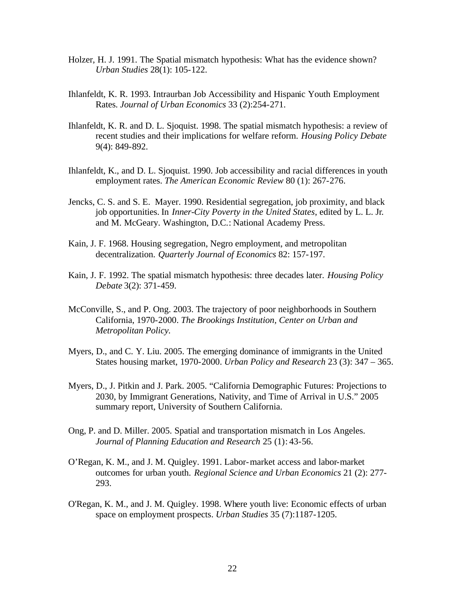- Holzer, H. J. 1991. The Spatial mismatch hypothesis: What has the evidence shown? *Urban Studies* 28(1): 105-122.
- Ihlanfeldt, K. R. 1993. Intraurban Job Accessibility and Hispanic Youth Employment Rates. *Journal of Urban Economics* 33 (2):254-271.
- Ihlanfeldt, K. R. and D. L. Sjoquist. 1998. The spatial mismatch hypothesis: a review of recent studies and their implications for welfare reform. *Housing Policy Debate* 9(4): 849-892.
- Ihlanfeldt, K., and D. L. Sjoquist. 1990. Job accessibility and racial differences in youth employment rates. *The American Economic Review* 80 (1): 267-276.
- Jencks, C. S. and S. E. Mayer. 1990. Residential segregation, job proximity, and black job opportunities. In *Inner-City Poverty in the United States*, edited by L. L. Jr. and M. McGeary. Washington, D.C.: National Academy Press.
- Kain, J. F. 1968. Housing segregation, Negro employment, and metropolitan decentralization. *Quarterly Journal of Economics* 82: 157-197.
- Kain, J. F. 1992. The spatial mismatch hypothesis: three decades later. *Housing Policy Debate* 3(2): 371-459.
- McConville, S., and P. Ong. 2003. The trajectory of poor neighborhoods in Southern California, 1970-2000. *The Brookings Institution, Center on Urban and Metropolitan Policy.*
- Myers, D., and C. Y. Liu. 2005. The emerging dominance of immigrants in the United States housing market, 1970-2000. *Urban Policy and Research* 23 (3): 347 – 365.
- Myers, D., J. Pitkin and J. Park. 2005. "California Demographic Futures: Projections to 2030, by Immigrant Generations, Nativity, and Time of Arrival in U.S." 2005 summary report, University of Southern California.
- Ong, P. and D. Miller. 2005. Spatial and transportation mismatch in Los Angeles. *Journal of Planning Education and Research* 25 (1): 43-56.
- O'Regan, K. M., and J. M. Quigley. 1991. Labor-market access and labor-market outcomes for urban youth. *Regional Science and Urban Economics* 21 (2): 277- 293.
- O'Regan, K. M., and J. M. Quigley. 1998. Where youth live: Economic effects of urban space on employment prospects. *Urban Studies* 35 (7):1187-1205.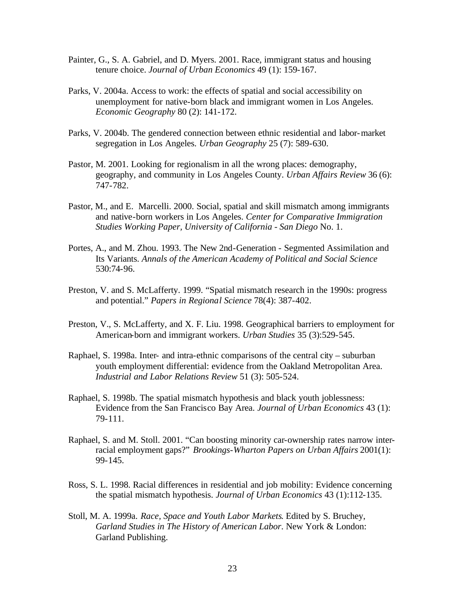- Painter, G., S. A. Gabriel, and D. Myers. 2001. Race, immigrant status and housing tenure choice. *Journal of Urban Economics* 49 (1): 159-167.
- Parks, V. 2004a. Access to work: the effects of spatial and social accessibility on unemployment for native-born black and immigrant women in Los Angeles. *Economic Geography* 80 (2): 141-172.
- Parks, V. 2004b. The gendered connection between ethnic residential and labor-market segregation in Los Angeles. *Urban Geography* 25 (7): 589-630.
- Pastor, M. 2001. Looking for regionalism in all the wrong places: demography, geography, and community in Los Angeles County. *Urban Affairs Review* 36 (6): 747-782.
- Pastor, M., and E. Marcelli. 2000. Social, spatial and skill mismatch among immigrants and native-born workers in Los Angeles. *Center for Comparative Immigration Studies Working Paper, University of California - San Diego* No. 1.
- Portes, A., and M. Zhou. 1993. The New 2nd-Generation Segmented Assimilation and Its Variants. *Annals of the American Academy of Political and Social Science* 530:74-96.
- Preston, V. and S. McLafferty. 1999. "Spatial mismatch research in the 1990s: progress and potential." *Papers in Regional Science* 78(4): 387-402.
- Preston, V., S. McLafferty, and X. F. Liu. 1998. Geographical barriers to employment for American-born and immigrant workers. *Urban Studies* 35 (3):529-545.
- Raphael, S. 1998a. Inter- and intra-ethnic comparisons of the central city suburban youth employment differential: evidence from the Oakland Metropolitan Area. *Industrial and Labor Relations Review* 51 (3): 505-524.
- Raphael, S. 1998b. The spatial mismatch hypothesis and black youth joblessness: Evidence from the San Francisco Bay Area. *Journal of Urban Economics* 43 (1): 79-111.
- Raphael, S. and M. Stoll. 2001. "Can boosting minority car-ownership rates narrow interracial employment gaps?" *Brookings-Wharton Papers on Urban Affairs* 2001(1): 99-145.
- Ross, S. L. 1998. Racial differences in residential and job mobility: Evidence concerning the spatial mismatch hypothesis. *Journal of Urban Economics* 43 (1):112-135.
- Stoll, M. A. 1999a. *Race, Space and Youth Labor Markets*. Edited by S. Bruchey, *Garland Studies in The History of American Labor*. New York & London: Garland Publishing.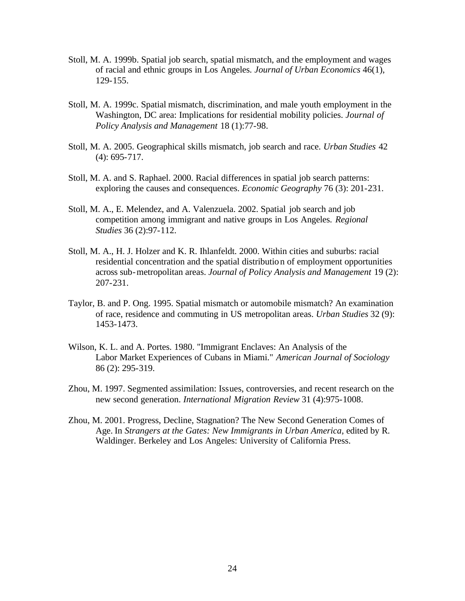- Stoll, M. A. 1999b. Spatial job search, spatial mismatch, and the employment and wages of racial and ethnic groups in Los Angeles. *Journal of Urban Economics* 46(1), 129-155.
- Stoll, M. A. 1999c. Spatial mismatch, discrimination, and male youth employment in the Washington, DC area: Implications for residential mobility policies. *Journal of Policy Analysis and Management* 18 (1):77-98.
- Stoll, M. A. 2005. Geographical skills mismatch, job search and race. *Urban Studies* 42 (4): 695-717.
- Stoll, M. A. and S. Raphael. 2000. Racial differences in spatial job search patterns: exploring the causes and consequences. *Economic Geography* 76 (3): 201-231.
- Stoll, M. A., E. Melendez, and A. Valenzuela. 2002. Spatial job search and job competition among immigrant and native groups in Los Angeles. *Regional Studies* 36 (2):97-112.
- Stoll, M. A., H. J. Holzer and K. R. Ihlanfeldt. 2000. Within cities and suburbs: racial residential concentration and the spatial distribution of employment opportunities across sub-metropolitan areas. *Journal of Policy Analysis and Management* 19 (2): 207-231.
- Taylor, B. and P. Ong. 1995. Spatial mismatch or automobile mismatch? An examination of race, residence and commuting in US metropolitan areas. *Urban Studies* 32 (9): 1453-1473.
- Wilson, K. L. and A. Portes. 1980. "Immigrant Enclaves: An Analysis of the Labor Market Experiences of Cubans in Miami." *American Journal of Sociology* 86 (2): 295-319.
- Zhou, M. 1997. Segmented assimilation: Issues, controversies, and recent research on the new second generation. *International Migration Review* 31 (4):975-1008.
- Zhou, M. 2001. Progress, Decline, Stagnation? The New Second Generation Comes of Age. In *Strangers at the Gates: New Immigrants in Urban America*, edited by R. Waldinger. Berkeley and Los Angeles: University of California Press.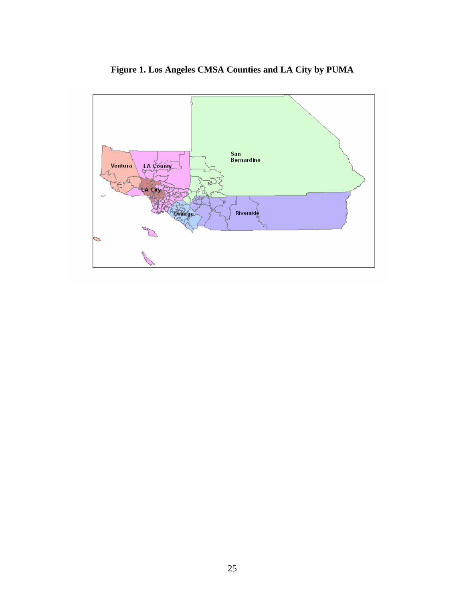

**Figure 1. Los Angeles CMSA Counties and LA City by PUMA**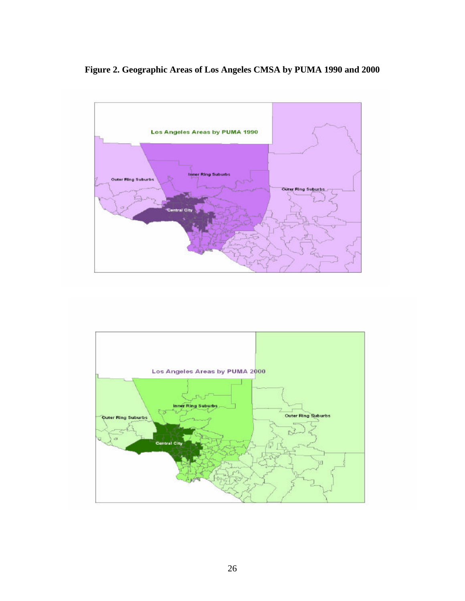## **Figure 2. Geographic Areas of Los Angeles CMSA by PUMA 1990 and 2000**



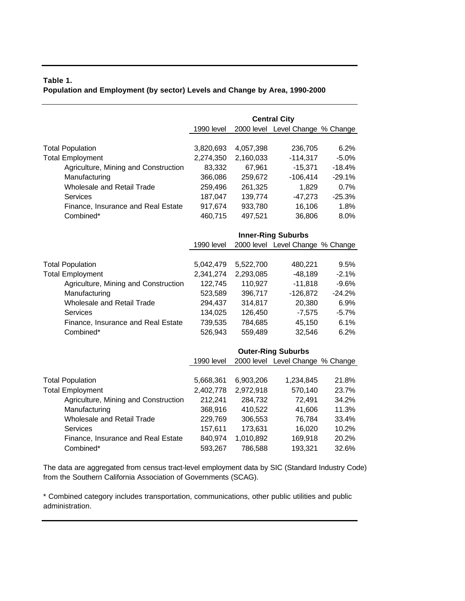## **Table 1. Population and Employment (by sector) Levels and Change by Area, 1990-2000**

|                                      |            |           | <b>Central City</b>              |          |
|--------------------------------------|------------|-----------|----------------------------------|----------|
|                                      | 1990 level |           | 2000 level Level Change % Change |          |
|                                      |            |           |                                  |          |
| <b>Total Population</b>              | 3,820,693  | 4,057,398 | 236,705                          | 6.2%     |
| <b>Total Employment</b>              | 2,274,350  | 2,160,033 | $-114,317$                       | $-5.0%$  |
| Agriculture, Mining and Construction | 83,332     | 67,961    | $-15,371$                        | $-18.4%$ |
| Manufacturing                        | 366,086    | 259,672   | $-106,414$                       | $-29.1%$ |
| Wholesale and Retail Trade           | 259,496    | 261,325   | 1,829                            | 0.7%     |
| Services                             | 187,047    | 139,774   | $-47,273$                        | $-25.3%$ |
| Finance, Insurance and Real Estate   | 917,674    | 933,780   | 16,106                           | 1.8%     |
| Combined*                            | 460,715    | 497,521   | 36,806                           | 8.0%     |
|                                      |            |           |                                  |          |
|                                      |            |           | <b>Inner-Ring Suburbs</b>        |          |
|                                      | 1990 level |           | 2000 level Level Change % Change |          |
|                                      |            |           |                                  |          |
| <b>Total Population</b>              | 5,042,479  | 5,522,700 | 480,221                          | 9.5%     |
| <b>Total Employment</b>              | 2,341,274  | 2,293,085 | $-48,189$                        | $-2.1%$  |
| Agriculture, Mining and Construction | 122,745    | 110,927   | $-11,818$                        | $-9.6%$  |
| Manufacturing                        | 523,589    | 396,717   | $-126,872$                       | $-24.2%$ |
| Wholesale and Retail Trade           | 294,437    | 314,817   | 20,380                           | 6.9%     |
| Services                             | 134,025    | 126,450   | $-7,575$                         | $-5.7%$  |
| Finance, Insurance and Real Estate   | 739,535    | 784,685   | 45,150                           | 6.1%     |
| Combined*                            | 526,943    | 559,489   | 32,546                           | 6.2%     |
|                                      |            |           |                                  |          |
|                                      |            |           | <b>Outer-Ring Suburbs</b>        |          |
|                                      | 1990 level |           | 2000 level Level Change % Change |          |
|                                      |            |           |                                  |          |
| <b>Total Population</b>              | 5,668,361  | 6,903,206 | 1,234,845                        | 21.8%    |
| <b>Total Employment</b>              | 2,402,778  | 2,972,918 | 570,140                          | 23.7%    |
| Agriculture, Mining and Construction | 212,241    | 284,732   | 72,491                           | 34.2%    |
| Manufacturing                        | 368,916    | 410,522   | 41,606                           | 11.3%    |
| Wholesale and Retail Trade           | 229,769    | 306,553   | 76,784                           | 33.4%    |
| Services                             | 157,611    | 173,631   | 16,020                           | 10.2%    |
| Finance, Insurance and Real Estate   | 840,974    | 1,010,892 | 169,918                          | 20.2%    |
| Combined*                            | 593,267    | 786,588   | 193,321                          | 32.6%    |

The data are aggregated from census tract-level employment data by SIC (Standard Industry Code) from the Southern California Association of Governments (SCAG).

\* Combined category includes transportation, communications, other public utilities and public administration.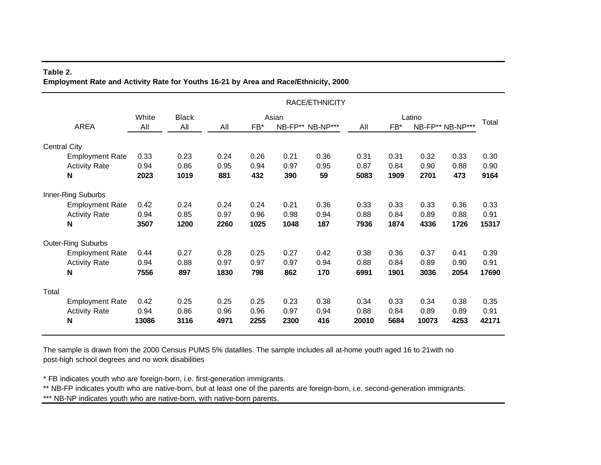#### **Table 2. Employment Rate and Activity Rate for Youths 16-21 by Area and Race/Ethnicity, 2000**

|                     |                           |       |              |      |      |       | RACE/ETHNICITY   |       |      |        |                  |       |
|---------------------|---------------------------|-------|--------------|------|------|-------|------------------|-------|------|--------|------------------|-------|
|                     |                           | White | <b>Black</b> |      |      | Asian |                  |       |      | Latino |                  |       |
|                     | AREA                      | All   | All          | All  | FB*  |       | NB-FP** NB-NP*** | All   | FB*  |        | NB-FP** NB-NP*** | Total |
| <b>Central City</b> |                           |       |              |      |      |       |                  |       |      |        |                  |       |
|                     | <b>Employment Rate</b>    | 0.33  | 0.23         | 0.24 | 0.26 | 0.21  | 0.36             | 0.31  | 0.31 | 0.32   | 0.33             | 0.30  |
|                     | <b>Activity Rate</b>      | 0.94  | 0.86         | 0.95 | 0.94 | 0.97  | 0.95             | 0.87  | 0.84 | 0.90   | 0.88             | 0.90  |
|                     | $\mathbf N$               | 2023  | 1019         | 881  | 432  | 390   | 59               | 5083  | 1909 | 2701   | 473              | 9164  |
|                     | Inner-Ring Suburbs        |       |              |      |      |       |                  |       |      |        |                  |       |
|                     | <b>Employment Rate</b>    | 0.42  | 0.24         | 0.24 | 0.24 | 0.21  | 0.36             | 0.33  | 0.33 | 0.33   | 0.36             | 0.33  |
|                     | <b>Activity Rate</b>      | 0.94  | 0.85         | 0.97 | 0.96 | 0.98  | 0.94             | 0.88  | 0.84 | 0.89   | 0.88             | 0.91  |
|                     | $\mathbf N$               | 3507  | 1200         | 2260 | 1025 | 1048  | 187              | 7936  | 1874 | 4336   | 1726             | 15317 |
|                     | <b>Outer-Ring Suburbs</b> |       |              |      |      |       |                  |       |      |        |                  |       |
|                     | <b>Employment Rate</b>    | 0.44  | 0.27         | 0.28 | 0.25 | 0.27  | 0.42             | 0.38  | 0.36 | 0.37   | 0.41             | 0.39  |
|                     | <b>Activity Rate</b>      | 0.94  | 0.88         | 0.97 | 0.97 | 0.97  | 0.94             | 0.88  | 0.84 | 0.89   | 0.90             | 0.91  |
|                     | N                         | 7556  | 897          | 1830 | 798  | 862   | 170              | 6991  | 1901 | 3036   | 2054             | 17690 |
| Total               |                           |       |              |      |      |       |                  |       |      |        |                  |       |
|                     | <b>Employment Rate</b>    | 0.42  | 0.25         | 0.25 | 0.25 | 0.23  | 0.38             | 0.34  | 0.33 | 0.34   | 0.38             | 0.35  |
|                     | <b>Activity Rate</b>      | 0.94  | 0.86         | 0.96 | 0.96 | 0.97  | 0.94             | 0.88  | 0.84 | 0.89   | 0.89             | 0.91  |
|                     | $\mathsf{N}$              | 13086 | 3116         | 4971 | 2255 | 2300  | 416              | 20010 | 5684 | 10073  | 4253             | 42171 |

The sample is drawn from the 2000 Census PUMS 5% datafiles. The sample includes all at-home youth aged 16 to 21with no post-high school degrees and no work disabilities

\* FB indicates youth who are foreign-born, i.e. first-generation immigrants.

\*\* NB-FP indicates youth who are native-born, but at least one of the parents are foreign-born, i.e. second-generation immigrants.

\*\*\* NB-NP indicates youth who are native-born, with native-born parents.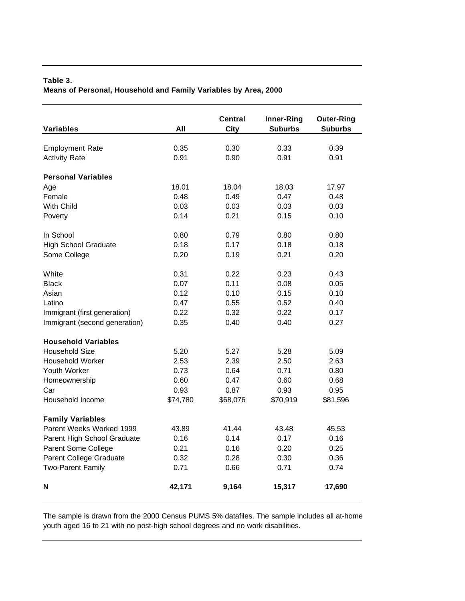## **Table 3. Means of Personal, Household and Family Variables by Area, 2000**

| <b>Variables</b>              | All      | Central<br><b>City</b> | Inner-Ring<br><b>Suburbs</b> | <b>Outer-Ring</b><br><b>Suburbs</b> |
|-------------------------------|----------|------------------------|------------------------------|-------------------------------------|
|                               |          |                        |                              |                                     |
| <b>Employment Rate</b>        | 0.35     | 0.30                   | 0.33                         | 0.39                                |
| <b>Activity Rate</b>          | 0.91     | 0.90                   | 0.91                         | 0.91                                |
| <b>Personal Variables</b>     |          |                        |                              |                                     |
| Age                           | 18.01    | 18.04                  | 18.03                        | 17.97                               |
| Female                        | 0.48     | 0.49                   | 0.47                         | 0.48                                |
| With Child                    | 0.03     | 0.03                   | 0.03                         | 0.03                                |
| Poverty                       | 0.14     | 0.21                   | 0.15                         | 0.10                                |
| In School                     | 0.80     | 0.79                   | 0.80                         | 0.80                                |
| <b>High School Graduate</b>   | 0.18     | 0.17                   | 0.18                         | 0.18                                |
| Some College                  | 0.20     | 0.19                   | 0.21                         | 0.20                                |
| White                         | 0.31     | 0.22                   | 0.23                         | 0.43                                |
| <b>Black</b>                  | 0.07     | 0.11                   | 0.08                         | 0.05                                |
| Asian                         | 0.12     | 0.10                   | 0.15                         | 0.10                                |
| Latino                        | 0.47     | 0.55                   | 0.52                         | 0.40                                |
| Immigrant (first generation)  | 0.22     | 0.32                   | 0.22                         | 0.17                                |
| Immigrant (second generation) | 0.35     | 0.40                   | 0.40                         | 0.27                                |
| <b>Household Variables</b>    |          |                        |                              |                                     |
| <b>Household Size</b>         | 5.20     | 5.27                   | 5.28                         | 5.09                                |
| <b>Household Worker</b>       | 2.53     | 2.39                   | 2.50                         | 2.63                                |
| Youth Worker                  | 0.73     | 0.64                   | 0.71                         | 0.80                                |
| Homeownership                 | 0.60     | 0.47                   | 0.60                         | 0.68                                |
| Car                           | 0.93     | 0.87                   | 0.93                         | 0.95                                |
| Household Income              | \$74,780 | \$68,076               | \$70,919                     | \$81,596                            |
| <b>Family Variables</b>       |          |                        |                              |                                     |
| Parent Weeks Worked 1999      | 43.89    | 41.44                  | 43.48                        | 45.53                               |
| Parent High School Graduate   | 0.16     | 0.14                   | 0.17                         | 0.16                                |
| Parent Some College           | 0.21     | 0.16                   | 0.20                         | 0.25                                |
| Parent College Graduate       | 0.32     | 0.28                   | 0.30                         | 0.36                                |
| <b>Two-Parent Family</b>      | 0.71     | 0.66                   | 0.71                         | 0.74                                |
| N                             | 42,171   | 9,164                  | 15,317                       | 17,690                              |

The sample is drawn from the 2000 Census PUMS 5% datafiles. The sample includes all at-home youth aged 16 to 21 with no post-high school degrees and no work disabilities.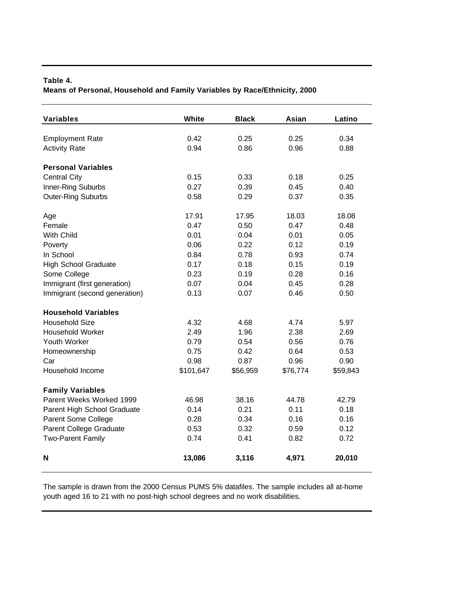## **Table 4. Means of Personal, Household and Family Variables by Race/Ethnicity, 2000**

| <b>Variables</b>              | White     | <b>Black</b> | Asian    | Latino   |
|-------------------------------|-----------|--------------|----------|----------|
|                               |           |              |          |          |
| <b>Employment Rate</b>        | 0.42      | 0.25         | 0.25     | 0.34     |
| <b>Activity Rate</b>          | 0.94      | 0.86         | 0.96     | 0.88     |
| <b>Personal Variables</b>     |           |              |          |          |
| <b>Central City</b>           | 0.15      | 0.33         | 0.18     | 0.25     |
| Inner-Ring Suburbs            | 0.27      | 0.39         | 0.45     | 0.40     |
| <b>Outer-Ring Suburbs</b>     | 0.58      | 0.29         | 0.37     | 0.35     |
|                               |           |              |          |          |
| Age                           | 17.91     | 17.95        | 18.03    | 18.08    |
| Female                        | 0.47      | 0.50         | 0.47     | 0.48     |
| With Child                    | 0.01      | 0.04         | 0.01     | 0.05     |
| Poverty                       | 0.06      | 0.22         | 0.12     | 0.19     |
| In School                     | 0.84      | 0.78         | 0.93     | 0.74     |
| <b>High School Graduate</b>   | 0.17      | 0.18         | 0.15     | 0.19     |
| Some College                  | 0.23      | 0.19         | 0.28     | 0.16     |
| Immigrant (first generation)  | 0.07      | 0.04         | 0.45     | 0.28     |
| Immigrant (second generation) | 0.13      | 0.07         | 0.46     | 0.50     |
| <b>Household Variables</b>    |           |              |          |          |
| <b>Household Size</b>         | 4.32      | 4.68         | 4.74     | 5.97     |
| <b>Household Worker</b>       | 2.49      | 1.96         | 2.38     | 2.69     |
| Youth Worker                  | 0.79      | 0.54         | 0.56     | 0.76     |
| Homeownership                 | 0.75      | 0.42         | 0.64     | 0.53     |
| Car                           | 0.98      | 0.87         | 0.96     | 0.90     |
| Household Income              | \$101,647 | \$56,959     | \$76,774 | \$59,843 |
|                               |           |              |          |          |
| <b>Family Variables</b>       |           |              |          |          |
| Parent Weeks Worked 1999      | 46.98     | 38.16        | 44.78    | 42.79    |
| Parent High School Graduate   | 0.14      | 0.21         | 0.11     | 0.18     |
| Parent Some College           | 0.28      | 0.34         | 0.16     | 0.16     |
| Parent College Graduate       | 0.53      | 0.32         | 0.59     | 0.12     |
| <b>Two-Parent Family</b>      | 0.74      | 0.41         | 0.82     | 0.72     |
| $\mathbf N$                   | 13,086    | 3,116        | 4,971    | 20,010   |

The sample is drawn from the 2000 Census PUMS 5% datafiles. The sample includes all at-home youth aged 16 to 21 with no post-high school degrees and no work disabilities.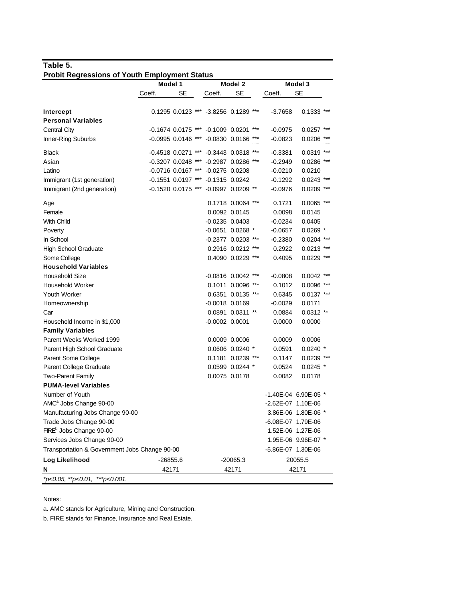## **Table 5. Probit Regressions of Youth Employment Status**

|                                               | Model 1              |    |                                       | Model 2           |     |                    | Model 3              |       |
|-----------------------------------------------|----------------------|----|---------------------------------------|-------------------|-----|--------------------|----------------------|-------|
|                                               | Coeff.               | SE | Coeff.                                | SE                |     | Coeff.             | <b>SE</b>            |       |
|                                               |                      |    |                                       |                   |     |                    |                      |       |
| Intercept                                     |                      |    | 0.1295 0.0123 *** -3.8256 0.1289 ***  |                   |     | $-3.7658$          | $0.1333$ ***         |       |
| <b>Personal Variables</b>                     |                      |    |                                       |                   |     |                    |                      |       |
| Central City                                  |                      |    | $-0.1674$ 0.0175 *** $-0.1009$ 0.0201 |                   | *** | $-0.0975$          | 0.0257               | ***   |
| Inner-Ring Suburbs                            | $-0.0995$ 0.0146 *** |    | $-0.0830$ 0.0166 ***                  |                   |     | $-0.0823$          | 0.0206               | ***   |
| <b>Black</b>                                  | $-0.4518$ 0.0271 *** |    | $-0.3443$ 0.0318 ***                  |                   |     | $-0.3381$          | 0.0319               | ***   |
| Asian                                         | $-0.3207$ 0.0248 *** |    | $-0.2987$ 0.0286 ***                  |                   |     | $-0.2949$          | 0.0286 ***           |       |
| Latino                                        | $-0.0716$ 0.0167 *** |    | $-0.0275$ 0.0208                      |                   |     | $-0.0210$          | 0.0210               |       |
| Immigrant (1st generation)                    | $-0.1551$ 0.0197 *** |    | $-0.1315$ $0.0242$                    |                   |     | $-0.1292$          | $0.0243$ ***         |       |
| Immigrant (2nd generation)                    | $-0.1520$ 0.0175 *** |    | $-0.0997$ 0.0209 **                   |                   |     | $-0.0976$          | 0.0209               | ***   |
| Age                                           |                      |    |                                       | 0.1718 0.0064 *** |     | 0.1721             | $0.0065$ ***         |       |
| Female                                        |                      |    |                                       | 0.0092 0.0145     |     | 0.0098             | 0.0145               |       |
| <b>With Child</b>                             |                      |    | $-0.0235$ 0.0403                      |                   |     | $-0.0234$          | 0.0405               |       |
| Poverty                                       |                      |    | -0.0651 0.0268 *                      |                   |     | $-0.0657$          | $0.0269$ *           |       |
| In School                                     |                      |    | $-0.2377$ 0.0203                      |                   | *** | $-0.2380$          | 0.0204               | ***   |
| <b>High School Graduate</b>                   |                      |    |                                       | 0.2916 0.0212     |     | 0.2922             | 0.0213               | ***   |
| Some College                                  |                      |    |                                       | 0.4090 0.0229 *** |     | 0.4095             | $0.0229$ ***         |       |
| <b>Household Variables</b>                    |                      |    |                                       |                   |     |                    |                      |       |
| <b>Household Size</b>                         |                      |    | $-0.0816$ 0.0042 ***                  |                   |     | -0.0808            | 0.0042               | ***   |
| <b>Household Worker</b>                       |                      |    |                                       | 0.1011 0.0096     | *** | 0.1012             | 0.0096               | $***$ |
| <b>Youth Worker</b>                           |                      |    |                                       | 0.6351 0.0135 *** |     | 0.6345             | $0.0137$ ***         |       |
| Homeownership                                 |                      |    | $-0.0018$ 0.0169                      |                   |     | $-0.0029$          | 0.0171               |       |
| Car                                           |                      |    |                                       | 0.0891 0.0311 **  |     | 0.0884             | $0.0312$ **          |       |
| Household Income in \$1,000                   |                      |    | $-0.0002$ $0.0001$                    |                   |     | 0.0000             | 0.0000               |       |
| <b>Family Variables</b>                       |                      |    |                                       |                   |     |                    |                      |       |
| Parent Weeks Worked 1999                      |                      |    | 0.0009 0.0006                         |                   |     | 0.0009             | 0.0006               |       |
| Parent High School Graduate                   |                      |    |                                       | 0.0606 0.0240 *   |     | 0.0591             | $0.0240*$            |       |
| Parent Some College                           |                      |    |                                       | 0.1181 0.0239 *** |     | 0.1147             | $0.0239$ ***         |       |
| Parent College Graduate                       |                      |    |                                       | 0.0599 0.0244 *   |     | 0.0524             | $0.0245$ *           |       |
| <b>Two-Parent Family</b>                      |                      |    |                                       | 0.0075 0.0178     |     | 0.0082             | 0.0178               |       |
| <b>PUMA-level Variables</b>                   |                      |    |                                       |                   |     |                    |                      |       |
| Number of Youth                               |                      |    |                                       |                   |     |                    | -1.40E-04 6.90E-05 * |       |
| AMC <sup>a</sup> Jobs Change 90-00            |                      |    |                                       |                   |     | -2.62E-07 1.10E-06 |                      |       |
| Manufacturing Jobs Change 90-00               |                      |    |                                       |                   |     |                    | 3.86E-06 1.80E-06 *  |       |
| Trade Jobs Change 90-00                       |                      |    |                                       |                   |     | -6.08E-07 1.79E-06 |                      |       |
| FIRE <sup>b</sup> Jobs Change 90-00           |                      |    |                                       |                   |     |                    | 1.52E-06 1.27E-06    |       |
| Services Jobs Change 90-00                    |                      |    |                                       |                   |     |                    | 1.95E-06 9.96E-07 *  |       |
| Transportation & Government Jobs Change 90-00 |                      |    |                                       |                   |     | -5.86E-07 1.30E-06 |                      |       |
| Log Likelihood                                | $-26855.6$           |    |                                       | $-20065.3$        |     |                    | 20055.5              |       |
| N                                             | 42171                |    |                                       | 42171             |     |                    | 42171                |       |
| *p<0.05, **p<0.01, ***p<0.001.                |                      |    |                                       |                   |     |                    |                      |       |

Notes:

a. AMC stands for Agriculture, Mining and Construction.

b. FIRE stands for Finance, Insurance and Real Estate.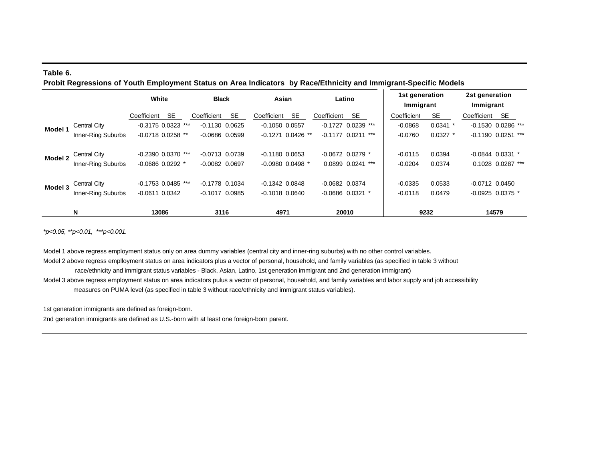#### **Table 6. Probit Regressions of Youth Employment Status on Area Indicators by Race/Ethnicity and Immigrant-Specific Models**

|         |                    | White                |           | <b>Black</b>       |           | Asian              |                      |                  | Latino               | 1st generation<br>Immigrant |            | 2st generation<br>Immigrant |                      |
|---------|--------------------|----------------------|-----------|--------------------|-----------|--------------------|----------------------|------------------|----------------------|-----------------------------|------------|-----------------------------|----------------------|
|         |                    | Coefficient          | <b>SE</b> | Coefficient        | <b>SE</b> | Coefficient        | <b>SE</b>            | Coefficient      | SE                   | Coefficient                 | <b>SE</b>  | Coefficient                 | <b>SE</b>            |
| Model 1 | Central City       | $-0.3175$ 0.0323 *** |           | $-0.1130$ $0.0625$ |           | $-0.1050$ $0.0557$ |                      | $-0.1727$        | $0.0239$ ***         | $-0.0868$                   | $0.0341$ * |                             | $-0.1530$ 0.0286 *** |
|         | Inner-Ring Suburbs | $-0.0718$ 0.0258 **  |           | $-0.0686$ $0.0599$ |           |                    | $-0.1271$ 0.0426 **  |                  | $-0.1177$ 0.0211 *** | $-0.0760$                   | $0.0327$ * |                             | $-0.1190$ 0.0251 *** |
| Model 2 | Central City       | $-0.2390$ 0.0370 *** |           | $-0.0713$ 0.0739   |           | $-0.1180$ $0.0653$ |                      |                  | $-0.0672$ 0.0279 $*$ | $-0.0115$                   | 0.0394     |                             | $-0.0844$ 0.0331 $*$ |
|         | Inner-Ring Suburbs | $-0.0686$ 0.0292 $*$ |           | $-0.0082$ 0.0697   |           |                    | $-0.0980$ 0.0498 $*$ |                  | 0.0899 0.0241 ***    | $-0.0204$                   | 0.0374     |                             | 0.1028 0.0287 ***    |
| Model 3 | Central City       | $-0.1753$ 0.0485 *** |           | $-0.1778$ 0.1034   |           | $-0.1342$ $0.0848$ |                      | $-0.0682$ 0.0374 |                      | $-0.0335$                   | 0.0533     | $-0.0712$ 0.0450            |                      |
|         | Inner-Ring Suburbs | $-0.0611$ $0.0342$   |           | $-0.1017$ 0.0985   |           | $-0.1018$ 0.0640   |                      |                  | $-0.0686$ 0.0321 $*$ | $-0.0118$                   | 0.0479     |                             | $-0.0925$ 0.0375 $*$ |
|         | N                  | 13086                |           | 3116               |           | 4971               |                      |                  | 20010                |                             | 9232       |                             | 14579                |

*\*p<0.05, \*\*p<0.01, \*\*\*p<0.001.*

Model 1 above regress employment status only on area dummy variables (central city and inner-ring suburbs) with no other control variables. Model 2 above regress emplloyment status on area indicators plus a vector of personal, household, and family variables (as specified in table 3 without

race/ethnicity and immigrant status variables - Black, Asian, Latino, 1st generation immigrant and 2nd generation immigrant)

Model 3 above regress employment status on area indicators pulus a vector of personal, household, and family variables and labor supply and job accessibility

measures on PUMA level (as specified in table 3 without race/ethnicity and immigrant status variables).

1st generation immigrants are defined as foreign-born.

2nd generation immigrants are defined as U.S.-born with at least one foreign-born parent.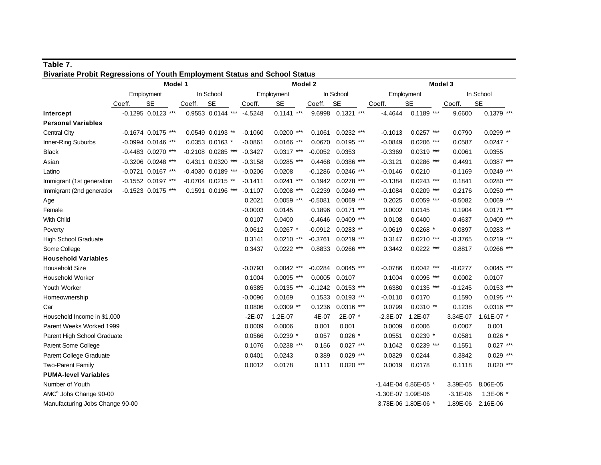| Bivariate Probit Regressions of Youth Employment Status and School Status |        |                      |        |                      |           |              |           |                     |                    |                      |              |              |
|---------------------------------------------------------------------------|--------|----------------------|--------|----------------------|-----------|--------------|-----------|---------------------|--------------------|----------------------|--------------|--------------|
|                                                                           |        | Model 1              |        |                      |           | Model 2      |           |                     |                    |                      | Model 3      |              |
|                                                                           |        | Employment           |        | In School            |           | Employment   |           | In School           |                    | Employment           |              | In School    |
|                                                                           | Coeff. | <b>SE</b>            | Coeff. | <b>SE</b>            | Coeff.    | <b>SE</b>    | Coeff.    | <b>SE</b>           | Coeff.             | <b>SE</b>            | Coeff.       | <b>SE</b>    |
| Intercept                                                                 |        | $-0.1295$ 0.0123 *** |        | 0.9553 0.0144 ***    | $-4.5248$ | $0.1141$ *** |           | 9.6998  0.1321 ***  | $-4.4644$          | $0.1189$ ***         | 9.6600       | $0.1379$ *** |
| <b>Personal Variables</b>                                                 |        |                      |        |                      |           |              |           |                     |                    |                      |              |              |
| <b>Central City</b>                                                       |        | $-0.1674$ 0.0175 *** |        | 0.0549 0.0193 **     | $-0.1060$ | $0.0200$ *** | 0.1061    | $0.0232$ ***        | $-0.1013$          | $0.0257$ ***         | 0.0790       | $0.0299$ **  |
| Inner-Ring Suburbs                                                        |        | $-0.0994$ 0.0146 *** |        | 0.0353 0.0163 *      | $-0.0861$ | $0.0166$ *** | 0.0670    | $0.0195$ ***        | $-0.0849$          | $0.0206$ ***         | 0.0587       | $0.0247$ *   |
| <b>Black</b>                                                              |        | -0.4483 0.0270 ***   |        | -0.2108 0.0285 ***   | $-0.3427$ | $0.0317$ *** | $-0.0052$ | 0.0353              | $-0.3369$          | $0.0319$ ***         | 0.0061       | 0.0355       |
| Asian                                                                     |        | -0.3206 0.0248 ***   |        | 0.4311 0.0320 ***    | $-0.3158$ | $0.0285$ *** | 0.4468    | $0.0386$ ***        | $-0.3121$          | $0.0286$ ***         | 0.4491       | $0.0387$ *** |
| Latino                                                                    |        | -0.0721 0.0167 ***   |        | $-0.4030$ 0.0189 *** | $-0.0206$ | 0.0208       | $-0.1286$ | $0.0246$ ***        | $-0.0146$          | 0.0210               | $-0.1169$    | $0.0249$ *** |
| Immigrant (1st generation                                                 |        | $-0.1552$ 0.0197 *** |        | $-0.0704$ 0.0215 **  | $-0.1411$ | $0.0241$ *** | 0.1942    | $0.0278$ ***        | $-0.1384$          | $0.0243$ ***         | 0.1841       | $0.0280$ *** |
| Immigrant (2nd generation                                                 |        | -0.1523 0.0175 ***   |        | 0.1591 0.0196 ***    | $-0.1107$ | $0.0208$ *** | 0.2239    | $0.0249$ ***        | $-0.1084$          | $0.0209$ ***         | 0.2176       | $0.0250$ *** |
| Age                                                                       |        |                      |        |                      | 0.2021    | $0.0059$ *** | $-0.5081$ | $0.0069$ ***        | 0.2025             | $0.0059$ ***         | $-0.5082$    | $0.0069$ *** |
| Female                                                                    |        |                      |        |                      | $-0.0003$ | 0.0145       | 0.1896    | $0.0171$ ***        | 0.0002             | 0.0145               | 0.1904       | $0.0171$ *** |
| With Child                                                                |        |                      |        |                      | 0.0107    | 0.0400       | $-0.4646$ | $0.0409$ ***        | 0.0108             | 0.0400               | $-0.4637$    | $0.0409$ *** |
| Poverty                                                                   |        |                      |        |                      | $-0.0612$ | $0.0267$ *   |           | $-0.0912$ 0.0283 ** | $-0.0619$          | $0.0268$ *           | $-0.0897$    | $0.0283$ **  |
| High School Graduate                                                      |        |                      |        |                      | 0.3141    | $0.0210$ *** | $-0.3761$ | $0.0219$ ***        | 0.3147             | $0.0210$ ***         | $-0.3765$    | $0.0219$ *** |
| Some College                                                              |        |                      |        |                      | 0.3437    | $0.0222$ *** |           | 0.8833 0.0266 ***   | 0.3442             | $0.0222$ ***         | 0.8817       | $0.0266$ *** |
| <b>Household Variables</b>                                                |        |                      |        |                      |           |              |           |                     |                    |                      |              |              |
| <b>Household Size</b>                                                     |        |                      |        |                      | $-0.0793$ | $0.0042$ *** | $-0.0284$ | $0.0045$ ***        | $-0.0786$          | $0.0042$ ***         | $-0.0277$    | $0.0045$ *** |
| <b>Household Worker</b>                                                   |        |                      |        |                      | 0.1004    | $0.0095$ *** | 0.0005    | 0.0107              | 0.1004             | $0.0095$ ***         | 0.0002       | 0.0107       |
| Youth Worker                                                              |        |                      |        |                      | 0.6385    | $0.0135$ *** | $-0.1242$ | $0.0153$ ***        | 0.6380             | $0.0135$ ***         | $-0.1245$    | $0.0153$ *** |
| Homeownership                                                             |        |                      |        |                      | $-0.0096$ | 0.0169       | 0.1533    | $0.0193$ ***        | $-0.0110$          | 0.0170               | 0.1590       | $0.0195$ *** |
| Car                                                                       |        |                      |        |                      | 0.0806    | $0.0309$ **  | 0.1236    | $0.0316$ ***        | 0.0799             | $0.0310**$           | 0.1238       | $0.0316$ *** |
| Household Income in \$1,000                                               |        |                      |        |                      | $-2E-07$  | 1.2E-07      | 4E-07     | 2E-07 *             | $-2.3E - 07$       | 1.2E-07              | 3.34E-07     | 1.61E-07 *   |
| Parent Weeks Worked 1999                                                  |        |                      |        |                      | 0.0009    | 0.0006       | 0.001     | 0.001               | 0.0009             | 0.0006               | 0.0007       | 0.001        |
| Parent High School Graduate                                               |        |                      |        |                      | 0.0566    | $0.0239$ *   | 0.057     | $0.026$ *           | 0.0551             | $0.0239$ *           | 0.0581       | $0.026$ *    |
| Parent Some College                                                       |        |                      |        |                      | 0.1076    | $0.0238$ *** | 0.156     | $0.027$ ***         | 0.1042             | $0.0239$ ***         | 0.1551       | $0.027$ ***  |
| Parent College Graduate                                                   |        |                      |        |                      | 0.0401    | 0.0243       | 0.389     | $0.029$ ***         | 0.0329             | 0.0244               | 0.3842       | $0.029$ ***  |
| Two-Parent Family                                                         |        |                      |        |                      | 0.0012    | 0.0178       | 0.111     | $0.020$ ***         | 0.0019             | 0.0178               | 0.1118       | $0.020$ ***  |
| <b>PUMA-level Variables</b>                                               |        |                      |        |                      |           |              |           |                     |                    |                      |              |              |
| Number of Youth                                                           |        |                      |        |                      |           |              |           |                     |                    | -1.44E-04 6.86E-05 * | 3.39E-05     | 8.06E-05     |
| AMC <sup>a</sup> Jobs Change 90-00                                        |        |                      |        |                      |           |              |           |                     | -1.30E-07 1.09E-06 |                      | $-3.1E - 06$ | 1.3E-06 *    |
| Manufacturing Jobs Change 90-00                                           |        |                      |        |                      |           |              |           |                     |                    | 3.78E-06 1.80E-06 *  | 1.89E-06     | 2.16E-06     |

# **Table 7.**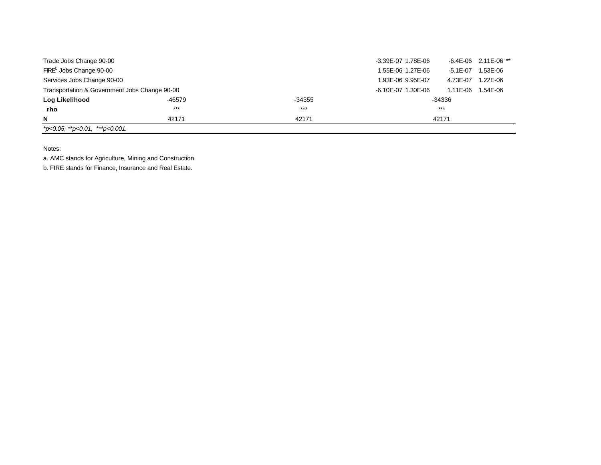| Trade Jobs Change 90-00                       |        |        | -3.39E-07 1.78E-06 |              | $-6.4E - 06$ 2.11E-06 ** |
|-----------------------------------------------|--------|--------|--------------------|--------------|--------------------------|
| FIRE <sup>b</sup> Jobs Change 90-00           |        |        | 1.55E-06 1.27E-06  | $-5.1E - 07$ | 1.53E-06                 |
| Services Jobs Change 90-00                    |        |        | 1.93E-06 9.95E-07  | 4.73E-07     | 1.22E-06                 |
| Transportation & Government Jobs Change 90-00 |        |        | -6.10E-07 1.30E-06 | 1.11E-06     | 1.54E-06                 |
| Log Likelihood                                | -46579 | -34355 |                    | -34336       |                          |
| $\_rho$                                       | $***$  | $***$  |                    | $***$        |                          |
| N                                             | 42171  | 42171  |                    | 42171        |                          |
| $*$ p<0.05, $*$ $*$ p<0.01, $*$ $*$ p<0.001.  |        |        |                    |              |                          |

Notes:

a. AMC stands for Agriculture, Mining and Construction.

b. FIRE stands for Finance, Insurance and Real Estate.